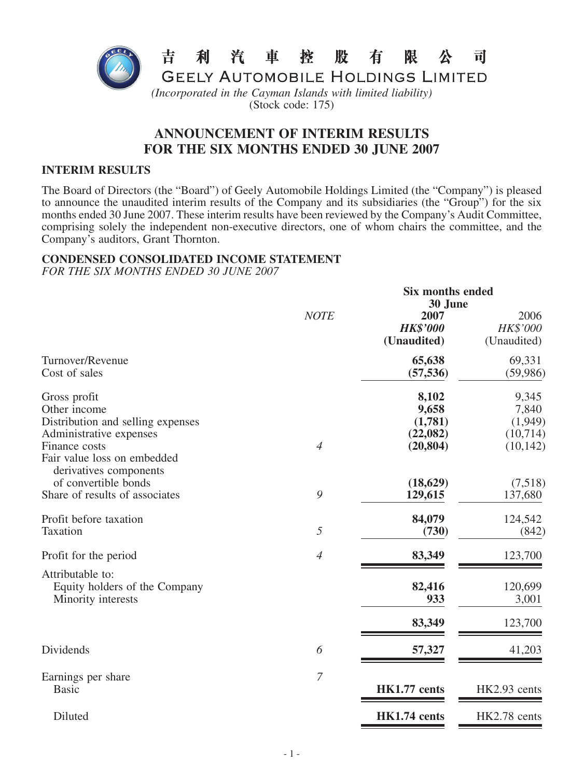

# (Stock code: 175)

# **ANNOUNCEMENT OF INTERIM RESULTS FOR THE SIX MONTHS ENDED 30 JUNE 2007**

#### **INTERIM RESULTS**

The Board of Directors (the "Board") of Geely Automobile Holdings Limited (the "Company") is pleased to announce the unaudited interim results of the Company and its subsidiaries (the "Group") for the six months ended 30 June 2007. These interim results have been reviewed by the Company's Audit Committee, comprising solely the independent non-executive directors, one of whom chairs the committee, and the Company's auditors, Grant Thornton.

## **CONDENSED CONSOLIDATED INCOME STATEMENT**

*FOR THE SIX MONTHS ENDED 30 JUNE 2007*

|                                                                                                                                              | <b>Six months ended</b><br>30 June |                                                    |                                                    |  |
|----------------------------------------------------------------------------------------------------------------------------------------------|------------------------------------|----------------------------------------------------|----------------------------------------------------|--|
|                                                                                                                                              | <b>NOTE</b>                        | 2007<br><b>HK\$'000</b><br>(Unaudited)             | 2006<br>HK\$'000<br>(Unaudited)                    |  |
| Turnover/Revenue<br>Cost of sales                                                                                                            |                                    | 65,638<br>(57, 536)                                | 69,331<br>(59, 986)                                |  |
| Gross profit<br>Other income<br>Distribution and selling expenses<br>Administrative expenses<br>Finance costs<br>Fair value loss on embedded | $\overline{4}$                     | 8,102<br>9,658<br>(1,781)<br>(22,082)<br>(20, 804) | 9,345<br>7,840<br>(1,949)<br>(10,714)<br>(10, 142) |  |
| derivatives components<br>of convertible bonds<br>Share of results of associates                                                             | 9                                  | (18, 629)<br>129,615                               | (7,518)<br>137,680                                 |  |
| Profit before taxation<br>Taxation                                                                                                           | 5                                  | 84,079<br>(730)                                    | 124,542<br>(842)                                   |  |
| Profit for the period                                                                                                                        | $\overline{4}$                     | 83,349                                             | 123,700                                            |  |
| Attributable to:<br>Equity holders of the Company<br>Minority interests                                                                      |                                    | 82,416<br>933                                      | 120,699<br>3,001                                   |  |
|                                                                                                                                              |                                    | 83,349                                             | 123,700                                            |  |
| Dividends                                                                                                                                    | 6                                  | 57,327                                             | 41,203                                             |  |
| Earnings per share<br><b>Basic</b>                                                                                                           | $\overline{7}$                     | HK1.77 cents                                       | HK2.93 cents                                       |  |
| Diluted                                                                                                                                      |                                    | HK1.74 cents                                       | HK2.78 cents                                       |  |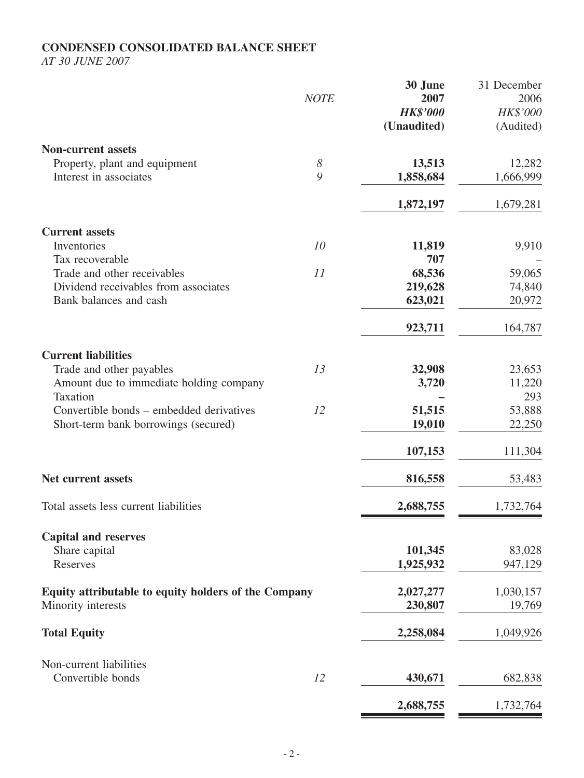# **CONDENSED CONSOLIDATED BALANCE SHEET**

*AT 30 JUNE 2007*

|                                                      |                       | 30 June<br>2007 | 31 December<br>2006 |
|------------------------------------------------------|-----------------------|-----------------|---------------------|
|                                                      | <b>NOTE</b>           | <b>HK\$'000</b> | HK\$'000            |
|                                                      |                       | (Unaudited)     | (Audited)           |
|                                                      |                       |                 |                     |
| <b>Non-current assets</b>                            |                       |                 |                     |
| Property, plant and equipment                        | $\boldsymbol{\delta}$ | 13,513          | 12,282              |
| Interest in associates                               | 9                     | 1,858,684       | 1,666,999           |
|                                                      |                       | 1,872,197       | 1,679,281           |
| <b>Current assets</b>                                |                       |                 |                     |
| Inventories                                          | 10                    | 11,819          | 9,910               |
| Tax recoverable                                      |                       | 707             |                     |
| Trade and other receivables                          | 11                    | 68,536          | 59,065              |
| Dividend receivables from associates                 |                       | 219,628         | 74,840              |
| Bank balances and cash                               |                       | 623,021         | 20,972              |
|                                                      |                       | 923,711         | 164,787             |
| <b>Current liabilities</b>                           |                       |                 |                     |
| Trade and other payables                             | 13                    | 32,908          | 23,653              |
| Amount due to immediate holding company              |                       | 3,720           | 11,220              |
| Taxation                                             |                       |                 | 293                 |
| Convertible bonds – embedded derivatives             | 12                    | 51,515          | 53,888              |
| Short-term bank borrowings (secured)                 |                       | 19,010          | 22,250              |
|                                                      |                       | 107,153         | 111,304             |
| Net current assets                                   |                       | 816,558         | 53,483              |
| Total assets less current liabilities                |                       | 2,688,755       | 1,732,764           |
|                                                      |                       |                 |                     |
| <b>Capital and reserves</b><br>Share capital         |                       | 101,345         | 83,028              |
| Reserves                                             |                       |                 |                     |
|                                                      |                       | 1,925,932       | 947,129             |
| Equity attributable to equity holders of the Company |                       | 2,027,277       | 1,030,157           |
| Minority interests                                   |                       | 230,807         | 19,769              |
| <b>Total Equity</b>                                  |                       | 2,258,084       | 1,049,926           |
| Non-current liabilities                              |                       |                 |                     |
| Convertible bonds                                    | 12                    | 430,671         | 682,838             |
|                                                      |                       | 2,688,755       | 1,732,764           |

**2,688,755** 1,732,764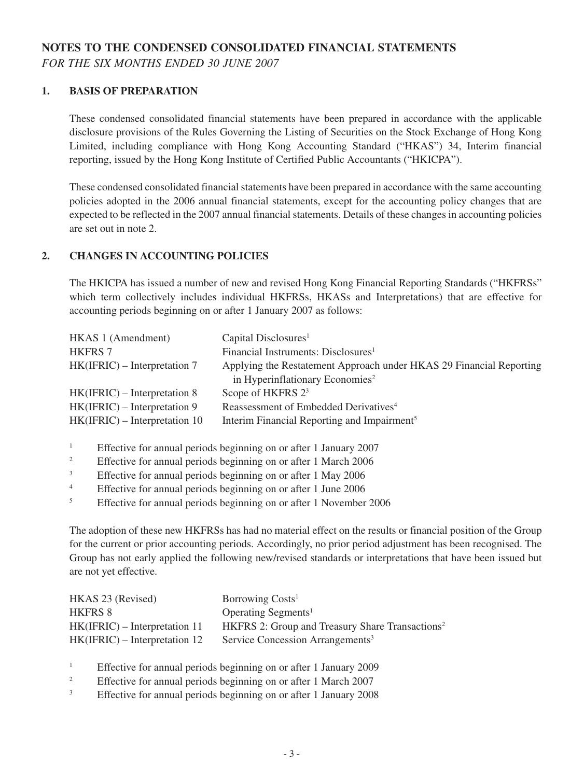# **NOTES TO THE CONDENSED CONSOLIDATED FINANCIAL STATEMENTS**

*FOR THE SIX MONTHS ENDED 30 JUNE 2007*

#### **1. BASIS OF PREPARATION**

These condensed consolidated financial statements have been prepared in accordance with the applicable disclosure provisions of the Rules Governing the Listing of Securities on the Stock Exchange of Hong Kong Limited, including compliance with Hong Kong Accounting Standard ("HKAS") 34, Interim financial reporting, issued by the Hong Kong Institute of Certified Public Accountants ("HKICPA").

These condensed consolidated financial statements have been prepared in accordance with the same accounting policies adopted in the 2006 annual financial statements, except for the accounting policy changes that are expected to be reflected in the 2007 annual financial statements. Details of these changes in accounting policies are set out in note 2.

#### **2. CHANGES IN ACCOUNTING POLICIES**

The HKICPA has issued a number of new and revised Hong Kong Financial Reporting Standards ("HKFRSs" which term collectively includes individual HKFRSs, HKASs and Interpretations) that are effective for accounting periods beginning on or after 1 January 2007 as follows:

| HKAS 1 (Amendment)              | Capital Disclosures <sup>1</sup>                                    |
|---------------------------------|---------------------------------------------------------------------|
| <b>HKFRS 7</b>                  | Financial Instruments: Disclosures <sup>1</sup>                     |
| $HK(IFRIC) - Interpretation 7$  | Applying the Restatement Approach under HKAS 29 Financial Reporting |
|                                 | in Hyperinflationary Economies <sup>2</sup>                         |
| $HK(IFRIC) - Interpretation 8$  | Scope of HKFRS $23$                                                 |
| $HK(IFRIC) - Interpretation 9$  | Reassessment of Embedded Derivatives <sup>4</sup>                   |
| $HK(IFRIC) - Interpretation 10$ | Interim Financial Reporting and Impairment <sup>5</sup>             |

<sup>1</sup> Effective for annual periods beginning on or after 1 January 2007

- <sup>2</sup> Effective for annual periods beginning on or after 1 March 2006
- <sup>3</sup> Effective for annual periods beginning on or after 1 May 2006
- <sup>4</sup> Effective for annual periods beginning on or after 1 June 2006
- <sup>5</sup> Effective for annual periods beginning on or after 1 November 2006

The adoption of these new HKFRSs has had no material effect on the results or financial position of the Group for the current or prior accounting periods. Accordingly, no prior period adjustment has been recognised. The Group has not early applied the following new/revised standards or interpretations that have been issued but are not yet effective.

| HKAS 23 (Revised)               | Borrowing Costs <sup>1</sup>                                |
|---------------------------------|-------------------------------------------------------------|
| <b>HKFRS 8</b>                  | Operating Segments <sup>1</sup>                             |
| $HK(IFRIC) - Interpretation 11$ | HKFRS 2: Group and Treasury Share Transactions <sup>2</sup> |
| $HK(IFRIC) - Interpretation 12$ | Service Concession Arrangements <sup>3</sup>                |

<sup>1</sup> Effective for annual periods beginning on or after 1 January 2009

- <sup>2</sup> Effective for annual periods beginning on or after 1 March 2007
- <sup>3</sup> Effective for annual periods beginning on or after 1 January 2008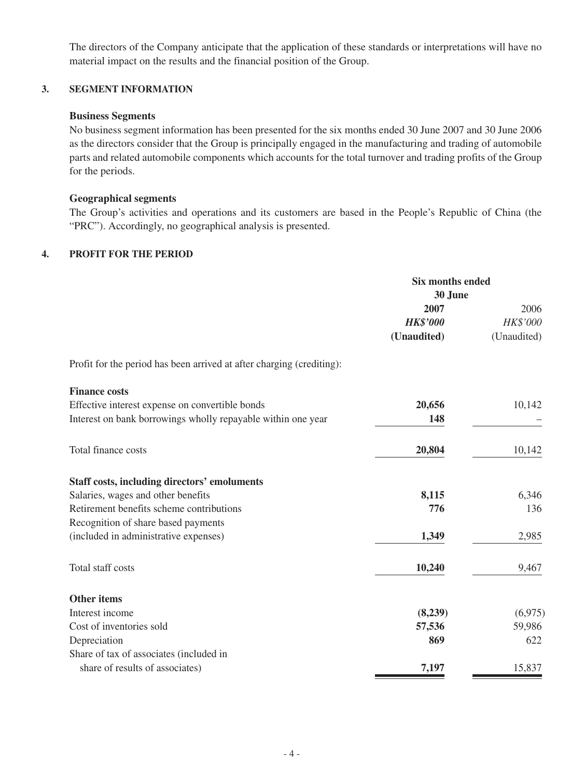The directors of the Company anticipate that the application of these standards or interpretations will have no material impact on the results and the financial position of the Group.

#### **3. SEGMENT INFORMATION**

### **Business Segments**

No business segment information has been presented for the six months ended 30 June 2007 and 30 June 2006 as the directors consider that the Group is principally engaged in the manufacturing and trading of automobile parts and related automobile components which accounts for the total turnover and trading profits of the Group for the periods.

### **Geographical segments**

The Group's activities and operations and its customers are based in the People's Republic of China (the "PRC"). Accordingly, no geographical analysis is presented.

## **4. PROFIT FOR THE PERIOD**

|                                                                       | <b>Six months ended</b><br>30 June |             |
|-----------------------------------------------------------------------|------------------------------------|-------------|
|                                                                       | 2007                               | 2006        |
|                                                                       | <b>HK\$'000</b>                    | HK\$'000    |
|                                                                       | (Unaudited)                        | (Unaudited) |
| Profit for the period has been arrived at after charging (crediting): |                                    |             |
| <b>Finance costs</b>                                                  |                                    |             |
| Effective interest expense on convertible bonds                       | 20,656                             | 10,142      |
| Interest on bank borrowings wholly repayable within one year          | 148                                |             |
| Total finance costs                                                   | 20,804                             | 10,142      |
| <b>Staff costs, including directors' emoluments</b>                   |                                    |             |
| Salaries, wages and other benefits                                    | 8,115                              | 6,346       |
| Retirement benefits scheme contributions                              | 776                                | 136         |
| Recognition of share based payments                                   |                                    |             |
| (included in administrative expenses)                                 | 1,349                              | 2,985       |
| Total staff costs                                                     | 10,240                             | 9,467       |
| <b>Other items</b>                                                    |                                    |             |
| Interest income                                                       | (8,239)                            | (6,975)     |
| Cost of inventories sold                                              | 57,536                             | 59,986      |
| Depreciation                                                          | 869                                | 622         |
| Share of tax of associates (included in                               |                                    |             |
| share of results of associates)                                       | 7,197                              | 15,837      |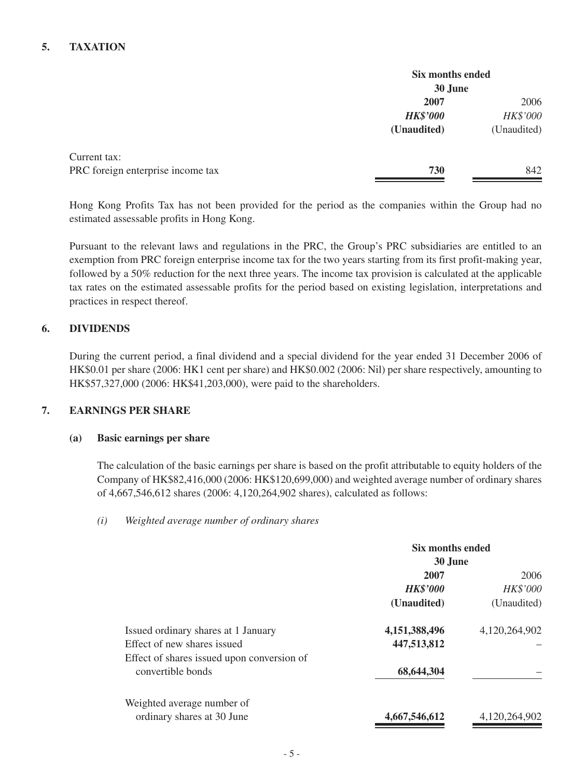### **5. TAXATION**

|                                   | Six months ended<br>30 June |             |
|-----------------------------------|-----------------------------|-------------|
|                                   | 2007                        | 2006        |
|                                   | <b>HK\$'000</b>             | HK\$'000    |
|                                   | (Unaudited)                 | (Unaudited) |
| Current tax:                      |                             |             |
| PRC foreign enterprise income tax | 730                         | 842         |
|                                   |                             |             |

Hong Kong Profits Tax has not been provided for the period as the companies within the Group had no estimated assessable profits in Hong Kong.

Pursuant to the relevant laws and regulations in the PRC, the Group's PRC subsidiaries are entitled to an exemption from PRC foreign enterprise income tax for the two years starting from its first profit-making year, followed by a 50% reduction for the next three years. The income tax provision is calculated at the applicable tax rates on the estimated assessable profits for the period based on existing legislation, interpretations and practices in respect thereof.

#### **6. DIVIDENDS**

During the current period, a final dividend and a special dividend for the year ended 31 December 2006 of HK\$0.01 per share (2006: HK1 cent per share) and HK\$0.002 (2006: Nil) per share respectively, amounting to HK\$57,327,000 (2006: HK\$41,203,000), were paid to the shareholders.

#### **7. EARNINGS PER SHARE**

#### **(a) Basic earnings per share**

The calculation of the basic earnings per share is based on the profit attributable to equity holders of the Company of HK\$82,416,000 (2006: HK\$120,699,000) and weighted average number of ordinary shares of 4,667,546,612 shares (2006: 4,120,264,902 shares), calculated as follows:

|                                                                 | Six months ended |                 |  |
|-----------------------------------------------------------------|------------------|-----------------|--|
|                                                                 | 30 June          |                 |  |
|                                                                 | 2007             | 2006            |  |
|                                                                 | <b>HK\$'000</b>  | <b>HK\$'000</b> |  |
|                                                                 | (Unaudited)      | (Unaudited)     |  |
| Issued ordinary shares at 1 January                             | 4,151,388,496    | 4,120,264,902   |  |
| Effect of new shares issued                                     | 447,513,812      |                 |  |
| Effect of shares issued upon conversion of<br>convertible bonds | 68,644,304       |                 |  |
| Weighted average number of<br>ordinary shares at 30 June        | 4,667,546,612    | 4,120,264,902   |  |

#### *(i) Weighted average number of ordinary shares*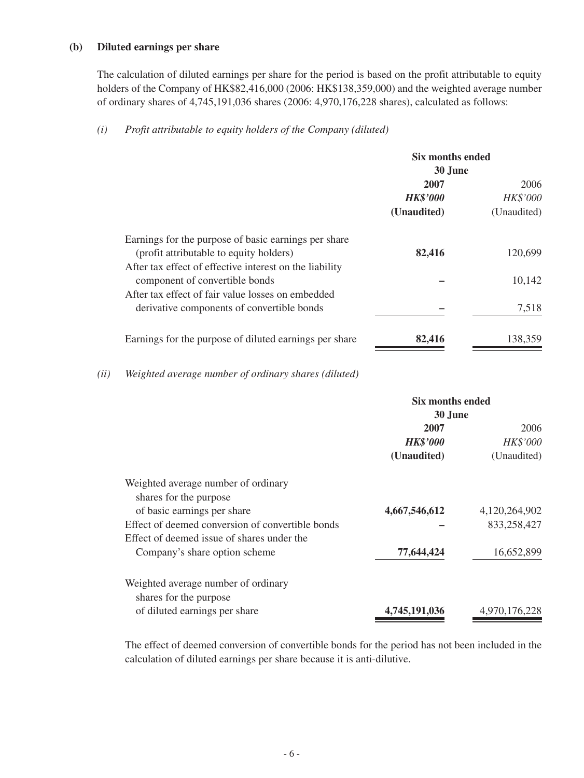#### **(b) Diluted earnings per share**

The calculation of diluted earnings per share for the period is based on the profit attributable to equity holders of the Company of HK\$82,416,000 (2006: HK\$138,359,000) and the weighted average number of ordinary shares of 4,745,191,036 shares (2006: 4,970,176,228 shares), calculated as follows:

#### *(i) Profit attributable to equity holders of the Company (diluted)*

| Six months ended<br>30 June |                 |
|-----------------------------|-----------------|
| 2007                        | 2006            |
| <b>HK\$'000</b>             | <b>HK\$'000</b> |
| (Unaudited)                 | (Unaudited)     |
|                             |                 |
| 82,416                      | 120,699         |
|                             |                 |
|                             | 10,142          |
|                             |                 |
|                             | 7,518           |
| 82,416                      | 138,359         |
|                             |                 |

#### *(ii) Weighted average number of ordinary shares (diluted)*

|                                                               | Six months ended |                 |
|---------------------------------------------------------------|------------------|-----------------|
|                                                               | 30 June          |                 |
|                                                               | 2007             | 2006            |
|                                                               | <b>HK\$'000</b>  | <b>HK\$'000</b> |
|                                                               | (Unaudited)      | (Unaudited)     |
| Weighted average number of ordinary<br>shares for the purpose |                  |                 |
| of basic earnings per share                                   | 4,667,546,612    | 4,120,264,902   |
| Effect of deemed conversion of convertible bonds              |                  | 833,258,427     |
| Effect of deemed issue of shares under the                    |                  |                 |
| Company's share option scheme                                 | 77,644,424       | 16,652,899      |
| Weighted average number of ordinary<br>shares for the purpose |                  |                 |
| of diluted earnings per share                                 | 4,745,191,036    | 4,970,176,228   |

The effect of deemed conversion of convertible bonds for the period has not been included in the calculation of diluted earnings per share because it is anti-dilutive.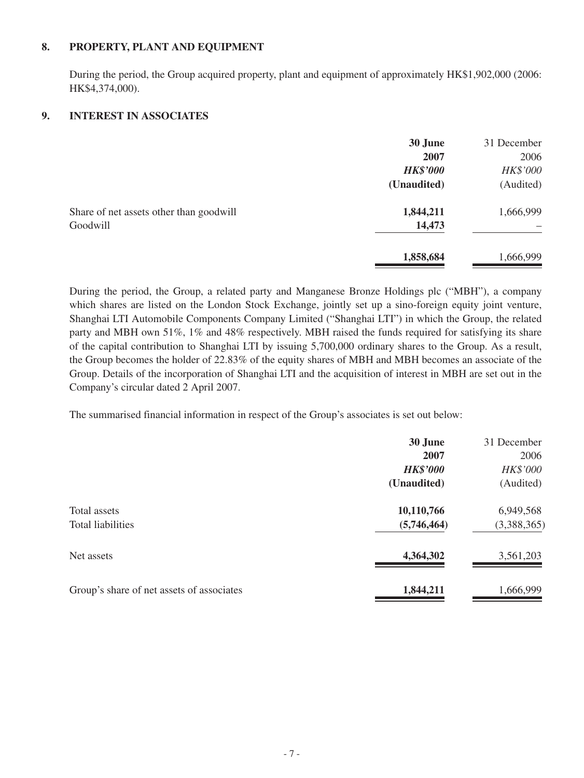#### **8. PROPERTY, PLANT AND EQUIPMENT**

During the period, the Group acquired property, plant and equipment of approximately HK\$1,902,000 (2006: HK\$4,374,000).

### **9. INTEREST IN ASSOCIATES**

| 31 December |
|-------------|
| 2006        |
| HK\$'000    |
| (Audited)   |
| 1,666,999   |
|             |
| 1,666,999   |
|             |

During the period, the Group, a related party and Manganese Bronze Holdings plc ("MBH"), a company which shares are listed on the London Stock Exchange, jointly set up a sino-foreign equity joint venture, Shanghai LTI Automobile Components Company Limited ("Shanghai LTI") in which the Group, the related party and MBH own 51%, 1% and 48% respectively. MBH raised the funds required for satisfying its share of the capital contribution to Shanghai LTI by issuing 5,700,000 ordinary shares to the Group. As a result, the Group becomes the holder of 22.83% of the equity shares of MBH and MBH becomes an associate of the Group. Details of the incorporation of Shanghai LTI and the acquisition of interest in MBH are set out in the Company's circular dated 2 April 2007.

The summarised financial information in respect of the Group's associates is set out below:

|                                           | 30 June         | 31 December |
|-------------------------------------------|-----------------|-------------|
|                                           | 2007            | 2006        |
|                                           | <b>HK\$'000</b> | HK\$'000    |
|                                           | (Unaudited)     | (Audited)   |
| Total assets                              | 10,110,766      | 6,949,568   |
| <b>Total liabilities</b>                  | (5,746,464)     | (3,388,365) |
| Net assets                                | 4,364,302       | 3,561,203   |
| Group's share of net assets of associates | 1,844,211       | 1,666,999   |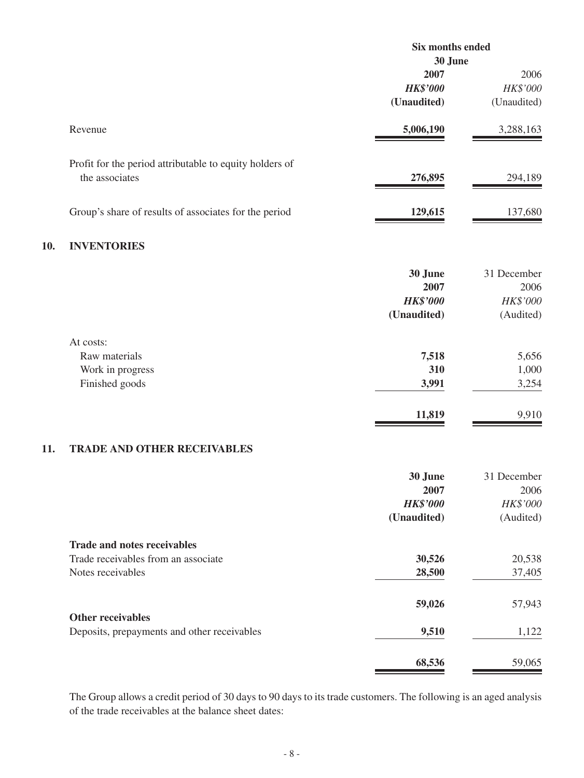|     |                                                                                                | Six months ended                                  |                                              |
|-----|------------------------------------------------------------------------------------------------|---------------------------------------------------|----------------------------------------------|
|     |                                                                                                | 30 June<br>2007<br><b>HK\$'000</b><br>(Unaudited) | 2006<br>HK\$'000<br>(Unaudited)              |
|     | Revenue                                                                                        | 5,006,190                                         | 3,288,163                                    |
|     | Profit for the period attributable to equity holders of<br>the associates                      | 276,895                                           | 294,189                                      |
|     | Group's share of results of associates for the period                                          | 129,615                                           | 137,680                                      |
| 10. | <b>INVENTORIES</b>                                                                             |                                                   |                                              |
|     |                                                                                                | 30 June<br>2007<br><b>HK\$'000</b><br>(Unaudited) | 31 December<br>2006<br>HK\$'000<br>(Audited) |
|     | At costs:<br>Raw materials<br>Work in progress<br>Finished goods                               | 7,518<br>310<br>3,991                             | 5,656<br>1,000<br>3,254                      |
|     |                                                                                                | 11,819                                            | 9,910                                        |
| 11. | <b>TRADE AND OTHER RECEIVABLES</b>                                                             |                                                   |                                              |
|     |                                                                                                | 30 June<br>2007<br><b>HK\$'000</b><br>(Unaudited) | 31 December<br>2006<br>HK\$'000<br>(Audited) |
|     | <b>Trade and notes receivables</b><br>Trade receivables from an associate<br>Notes receivables | 30,526<br>28,500                                  | 20,538<br>37,405                             |
|     | <b>Other receivables</b>                                                                       | 59,026                                            | 57,943                                       |
|     | Deposits, prepayments and other receivables                                                    | 9,510                                             | 1,122                                        |
|     |                                                                                                | 68,536                                            | 59,065                                       |

The Group allows a credit period of 30 days to 90 days to its trade customers. The following is an aged analysis of the trade receivables at the balance sheet dates: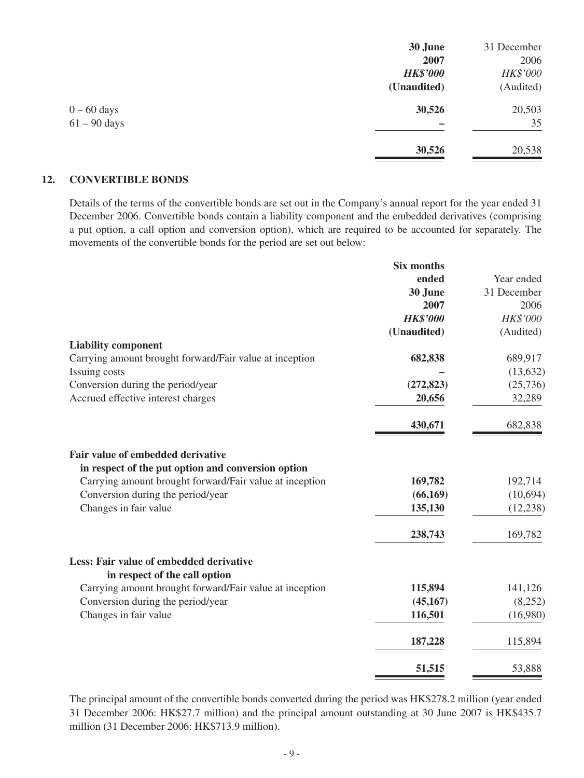|                | 30 June         | 31 December |
|----------------|-----------------|-------------|
|                | 2007            | 2006        |
|                | <b>HK\$'000</b> | HK\$'000    |
|                | (Unaudited)     | (Audited)   |
| $0 - 60$ days  | 30,526          | 20,503      |
| $61 - 90$ days |                 | 35          |
|                | 30,526          | 20,538      |
|                |                 |             |

#### **12. CONVERTIBLE BONDS**

Details of the terms of the convertible bonds are set out in the Company's annual report for the year ended 31 December 2006. Convertible bonds contain a liability component and the embedded derivatives (comprising a put option, a call option and conversion option), which are required to be accounted for separately. The movements of the convertible bonds for the period are set out below:

|                                                                                                               | <b>Six months</b> |             |
|---------------------------------------------------------------------------------------------------------------|-------------------|-------------|
|                                                                                                               | ended             | Year ended  |
|                                                                                                               | 30 June           | 31 December |
|                                                                                                               | 2007              | 2006        |
|                                                                                                               | <b>HK\$'000</b>   | HK\$'000    |
|                                                                                                               | (Unaudited)       | (Audited)   |
| <b>Liability component</b>                                                                                    |                   |             |
| Carrying amount brought forward/Fair value at inception                                                       | 682,838           | 689,917     |
| Issuing costs                                                                                                 |                   | (13, 632)   |
| Conversion during the period/year                                                                             | (272, 823)        | (25, 736)   |
| Accrued effective interest charges                                                                            | 20,656            | 32,289      |
|                                                                                                               | 430,671           | 682,838     |
| Fair value of embedded derivative                                                                             |                   |             |
| in respect of the put option and conversion option<br>Carrying amount brought forward/Fair value at inception | 169,782           | 192,714     |
| Conversion during the period/year                                                                             | (66, 169)         | (10,694)    |
| Changes in fair value                                                                                         | 135,130           | (12, 238)   |
|                                                                                                               |                   |             |
|                                                                                                               | 238,743           | 169,782     |
| Less: Fair value of embedded derivative<br>in respect of the call option                                      |                   |             |
| Carrying amount brought forward/Fair value at inception                                                       | 115,894           | 141,126     |
| Conversion during the period/year                                                                             | (45, 167)         | (8,252)     |
| Changes in fair value                                                                                         | 116,501           | (16,980)    |
|                                                                                                               |                   |             |
|                                                                                                               | 187,228           | 115,894     |
|                                                                                                               | 51,515            | 53,888      |

The principal amount of the convertible bonds converted during the period was HK\$278.2 million (year ended 31 December 2006: HK\$27.7 million) and the principal amount outstanding at 30 June 2007 is HK\$435.7 million (31 December 2006: HK\$713.9 million).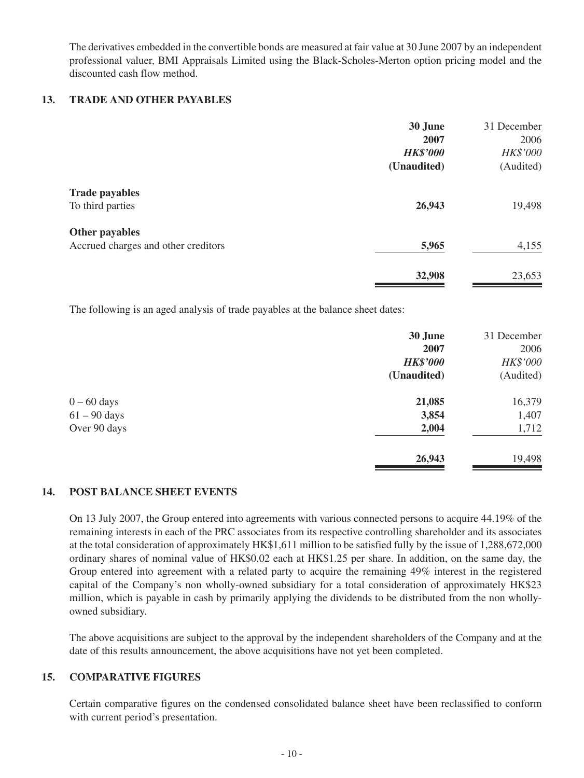The derivatives embedded in the convertible bonds are measured at fair value at 30 June 2007 by an independent professional valuer, BMI Appraisals Limited using the Black-Scholes-Merton option pricing model and the discounted cash flow method.

#### **13. TRADE AND OTHER PAYABLES**

|                                     | 30 June         | 31 December |
|-------------------------------------|-----------------|-------------|
|                                     | 2007            | 2006        |
|                                     | <b>HK\$'000</b> | HK\$'000    |
|                                     | (Unaudited)     | (Audited)   |
| <b>Trade payables</b>               |                 |             |
| To third parties                    | 26,943          | 19,498      |
| Other payables                      |                 |             |
| Accrued charges and other creditors | 5,965           | 4,155       |
|                                     | 32,908          | 23,653      |
|                                     |                 |             |

The following is an aged analysis of trade payables at the balance sheet dates:

|                | 30 June         | 31 December |
|----------------|-----------------|-------------|
|                | 2007            | 2006        |
|                | <b>HK\$'000</b> | HK\$'000    |
|                | (Unaudited)     | (Audited)   |
| $0 - 60$ days  | 21,085          | 16,379      |
| $61 - 90$ days | 3,854           | 1,407       |
| Over 90 days   | 2,004           | 1,712       |
|                | 26,943          | 19,498      |
|                |                 |             |

### **14. POST BALANCE SHEET EVENTS**

On 13 July 2007, the Group entered into agreements with various connected persons to acquire 44.19% of the remaining interests in each of the PRC associates from its respective controlling shareholder and its associates at the total consideration of approximately HK\$1,611 million to be satisfied fully by the issue of 1,288,672,000 ordinary shares of nominal value of HK\$0.02 each at HK\$1.25 per share. In addition, on the same day, the Group entered into agreement with a related party to acquire the remaining 49% interest in the registered capital of the Company's non wholly-owned subsidiary for a total consideration of approximately HK\$23 million, which is payable in cash by primarily applying the dividends to be distributed from the non whollyowned subsidiary.

The above acquisitions are subject to the approval by the independent shareholders of the Company and at the date of this results announcement, the above acquisitions have not yet been completed.

#### **15. Comparative Figures**

Certain comparative figures on the condensed consolidated balance sheet have been reclassified to conform with current period's presentation.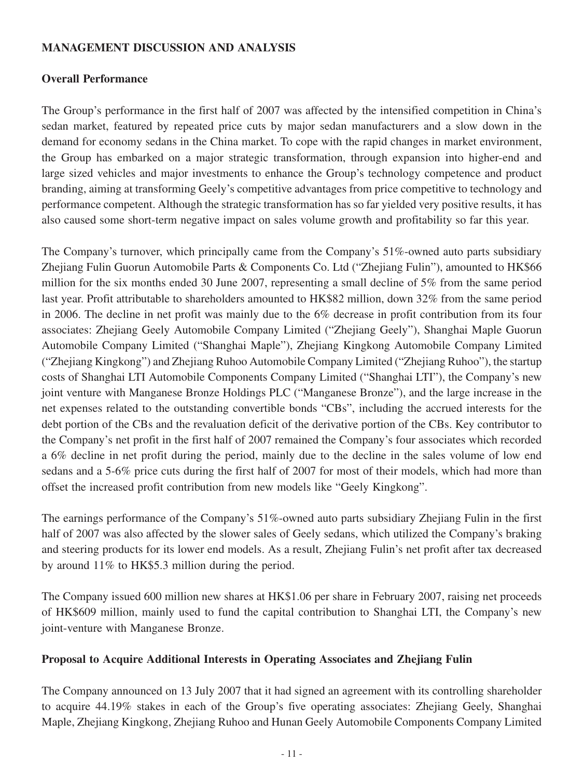## **MANAGEMENT DISCUSSION AND ANALYSIS**

## **Overall Performance**

The Group's performance in the first half of 2007 was affected by the intensified competition in China's sedan market, featured by repeated price cuts by major sedan manufacturers and a slow down in the demand for economy sedans in the China market. To cope with the rapid changes in market environment, the Group has embarked on a major strategic transformation, through expansion into higher-end and large sized vehicles and major investments to enhance the Group's technology competence and product branding, aiming at transforming Geely's competitive advantages from price competitive to technology and performance competent. Although the strategic transformation has so far yielded very positive results, it has also caused some short-term negative impact on sales volume growth and profitability so far this year.

The Company's turnover, which principally came from the Company's 51%-owned auto parts subsidiary Zhejiang Fulin Guorun Automobile Parts & Components Co. Ltd ("Zhejiang Fulin"), amounted to HK\$66 million for the six months ended 30 June 2007, representing a small decline of 5% from the same period last year. Profit attributable to shareholders amounted to HK\$82 million, down 32% from the same period in 2006. The decline in net profit was mainly due to the 6% decrease in profit contribution from its four associates: Zhejiang Geely Automobile Company Limited ("Zhejiang Geely"), Shanghai Maple Guorun Automobile Company Limited ("Shanghai Maple"), Zhejiang Kingkong Automobile Company Limited ("Zhejiang Kingkong") and Zhejiang Ruhoo Automobile Company Limited ("Zhejiang Ruhoo"), the startup costs of Shanghai LTI Automobile Components Company Limited ("Shanghai LTI"), the Company's new joint venture with Manganese Bronze Holdings PLC ("Manganese Bronze"), and the large increase in the net expenses related to the outstanding convertible bonds "CBs", including the accrued interests for the debt portion of the CBs and the revaluation deficit of the derivative portion of the CBs. Key contributor to the Company's net profit in the first half of 2007 remained the Company's four associates which recorded a 6% decline in net profit during the period, mainly due to the decline in the sales volume of low end sedans and a 5-6% price cuts during the first half of 2007 for most of their models, which had more than offset the increased profit contribution from new models like "Geely Kingkong".

The earnings performance of the Company's 51%-owned auto parts subsidiary Zhejiang Fulin in the first half of 2007 was also affected by the slower sales of Geely sedans, which utilized the Company's braking and steering products for its lower end models. As a result, Zhejiang Fulin's net profit after tax decreased by around 11% to HK\$5.3 million during the period.

The Company issued 600 million new shares at HK\$1.06 per share in February 2007, raising net proceeds of HK\$609 million, mainly used to fund the capital contribution to Shanghai LTI, the Company's new joint-venture with Manganese Bronze.

### **Proposal to Acquire Additional Interests in Operating Associates and Zhejiang Fulin**

The Company announced on 13 July 2007 that it had signed an agreement with its controlling shareholder to acquire 44.19% stakes in each of the Group's five operating associates: Zhejiang Geely, Shanghai Maple, Zhejiang Kingkong, Zhejiang Ruhoo and Hunan Geely Automobile Components Company Limited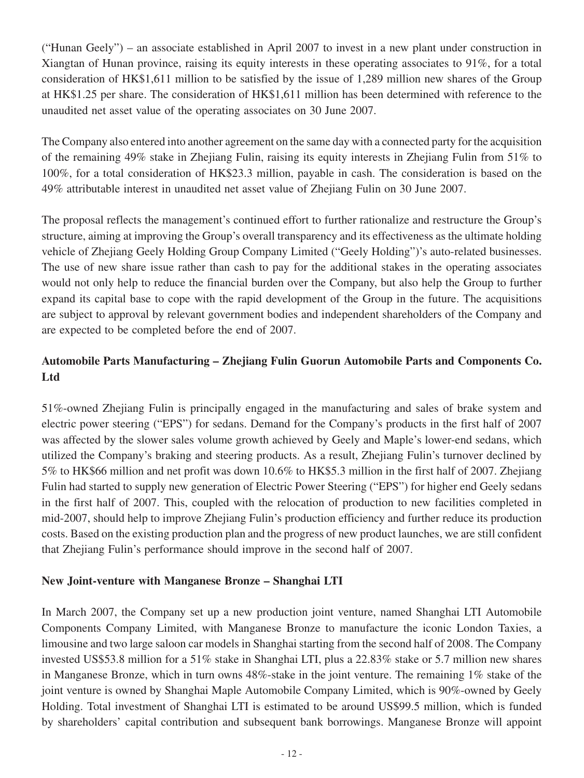("Hunan Geely") – an associate established in April 2007 to invest in a new plant under construction in Xiangtan of Hunan province, raising its equity interests in these operating associates to 91%, for a total consideration of HK\$1,611 million to be satisfied by the issue of 1,289 million new shares of the Group at HK\$1.25 per share. The consideration of HK\$1,611 million has been determined with reference to the unaudited net asset value of the operating associates on 30 June 2007.

The Company also entered into another agreement on the same day with a connected party for the acquisition of the remaining 49% stake in Zhejiang Fulin, raising its equity interests in Zhejiang Fulin from 51% to 100%, for a total consideration of HK\$23.3 million, payable in cash. The consideration is based on the 49% attributable interest in unaudited net asset value of Zhejiang Fulin on 30 June 2007.

The proposal reflects the management's continued effort to further rationalize and restructure the Group's structure, aiming at improving the Group's overall transparency and its effectiveness as the ultimate holding vehicle of Zhejiang Geely Holding Group Company Limited ("Geely Holding")'s auto-related businesses. The use of new share issue rather than cash to pay for the additional stakes in the operating associates would not only help to reduce the financial burden over the Company, but also help the Group to further expand its capital base to cope with the rapid development of the Group in the future. The acquisitions are subject to approval by relevant government bodies and independent shareholders of the Company and are expected to be completed before the end of 2007.

# **Automobile Parts Manufacturing – Zhejiang Fulin Guorun Automobile Parts and Components Co. Ltd**

51%-owned Zhejiang Fulin is principally engaged in the manufacturing and sales of brake system and electric power steering ("EPS") for sedans. Demand for the Company's products in the first half of 2007 was affected by the slower sales volume growth achieved by Geely and Maple's lower-end sedans, which utilized the Company's braking and steering products. As a result, Zhejiang Fulin's turnover declined by 5% to HK\$66 million and net profit was down 10.6% to HK\$5.3 million in the first half of 2007. Zhejiang Fulin had started to supply new generation of Electric Power Steering ("EPS") for higher end Geely sedans in the first half of 2007. This, coupled with the relocation of production to new facilities completed in mid-2007, should help to improve Zhejiang Fulin's production efficiency and further reduce its production costs. Based on the existing production plan and the progress of new product launches, we are still confident that Zhejiang Fulin's performance should improve in the second half of 2007.

# **New Joint-venture with Manganese Bronze – Shanghai LTI**

In March 2007, the Company set up a new production joint venture, named Shanghai LTI Automobile Components Company Limited, with Manganese Bronze to manufacture the iconic London Taxies, a limousine and two large saloon car models in Shanghai starting from the second half of 2008. The Company invested US\$53.8 million for a 51% stake in Shanghai LTI, plus a 22.83% stake or 5.7 million new shares in Manganese Bronze, which in turn owns 48%-stake in the joint venture. The remaining 1% stake of the joint venture is owned by Shanghai Maple Automobile Company Limited, which is 90%-owned by Geely Holding. Total investment of Shanghai LTI is estimated to be around US\$99.5 million, which is funded by shareholders' capital contribution and subsequent bank borrowings. Manganese Bronze will appoint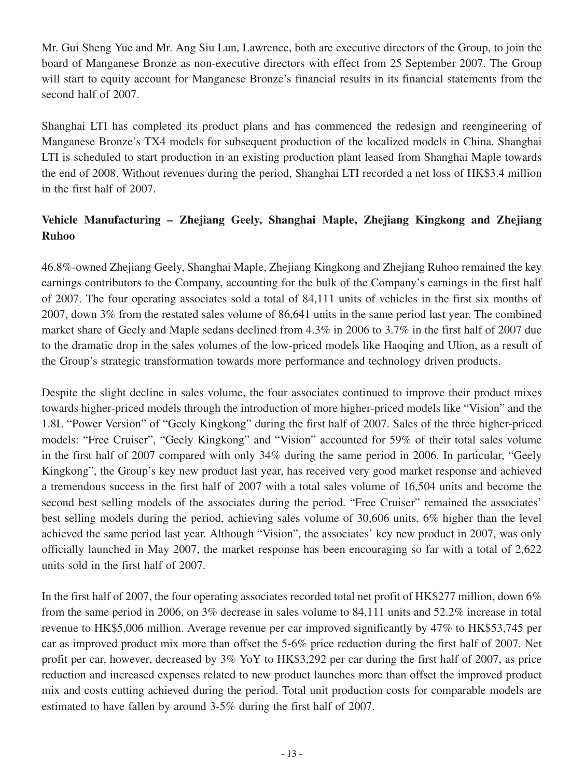Mr. Gui Sheng Yue and Mr. Ang Siu Lun, Lawrence, both are executive directors of the Group, to join the board of Manganese Bronze as non-executive directors with effect from 25 September 2007. The Group will start to equity account for Manganese Bronze's financial results in its financial statements from the second half of 2007.

Shanghai LTI has completed its product plans and has commenced the redesign and reengineering of Manganese Bronze's TX4 models for subsequent production of the localized models in China. Shanghai LTI is scheduled to start production in an existing production plant leased from Shanghai Maple towards the end of 2008. Without revenues during the period, Shanghai LTI recorded a net loss of HK\$3.4 million in the first half of 2007.

# **Vehicle Manufacturing – Zhejiang Geely, Shanghai Maple, Zhejiang Kingkong and Zhejiang Ruhoo**

46.8%-owned Zhejiang Geely, Shanghai Maple, Zhejiang Kingkong and Zhejiang Ruhoo remained the key earnings contributors to the Company, accounting for the bulk of the Company's earnings in the first half of 2007. The four operating associates sold a total of 84,111 units of vehicles in the first six months of 2007, down 3% from the restated sales volume of 86,641 units in the same period last year. The combined market share of Geely and Maple sedans declined from 4.3% in 2006 to 3.7% in the first half of 2007 due to the dramatic drop in the sales volumes of the low-priced models like Haoqing and Ulion, as a result of the Group's strategic transformation towards more performance and technology driven products.

Despite the slight decline in sales volume, the four associates continued to improve their product mixes towards higher-priced models through the introduction of more higher-priced models like "Vision" and the 1.8L "Power Version" of "Geely Kingkong" during the first half of 2007. Sales of the three higher-priced models: "Free Cruiser", "Geely Kingkong" and "Vision" accounted for 59% of their total sales volume in the first half of 2007 compared with only 34% during the same period in 2006. In particular, "Geely Kingkong", the Group's key new product last year, has received very good market response and achieved a tremendous success in the first half of 2007 with a total sales volume of 16,504 units and become the second best selling models of the associates during the period. "Free Cruiser" remained the associates' best selling models during the period, achieving sales volume of 30,606 units, 6% higher than the level achieved the same period last year. Although "Vision", the associates' key new product in 2007, was only officially launched in May 2007, the market response has been encouraging so far with a total of 2,622 units sold in the first half of 2007.

In the first half of 2007, the four operating associates recorded total net profit of HK\$277 million, down 6% from the same period in 2006, on 3% decrease in sales volume to 84,111 units and 52.2% increase in total revenue to HK\$5,006 million. Average revenue per car improved significantly by 47% to HK\$53,745 per car as improved product mix more than offset the 5-6% price reduction during the first half of 2007. Net profit per car, however, decreased by 3% YoY to HK\$3,292 per car during the first half of 2007, as price reduction and increased expenses related to new product launches more than offset the improved product mix and costs cutting achieved during the period. Total unit production costs for comparable models are estimated to have fallen by around 3-5% during the first half of 2007.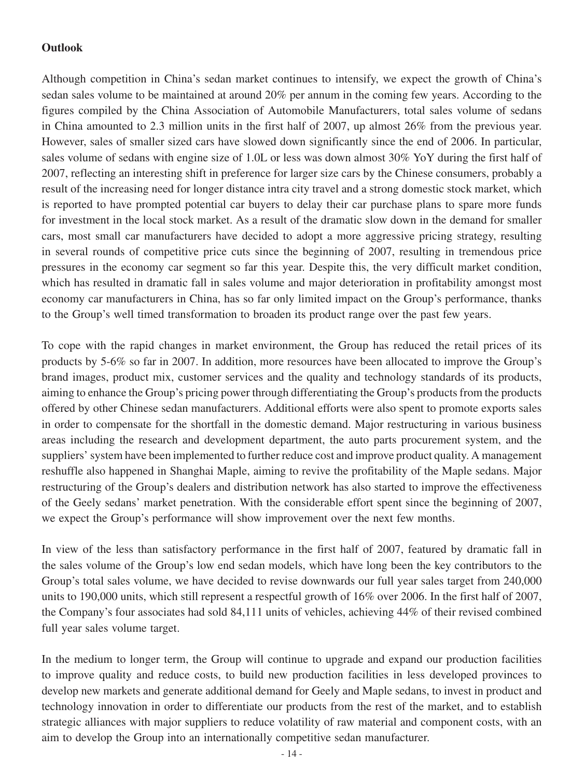# **Outlook**

Although competition in China's sedan market continues to intensify, we expect the growth of China's sedan sales volume to be maintained at around 20% per annum in the coming few years. According to the figures compiled by the China Association of Automobile Manufacturers, total sales volume of sedans in China amounted to 2.3 million units in the first half of 2007, up almost 26% from the previous year. However, sales of smaller sized cars have slowed down significantly since the end of 2006. In particular, sales volume of sedans with engine size of 1.0L or less was down almost 30% YoY during the first half of 2007, reflecting an interesting shift in preference for larger size cars by the Chinese consumers, probably a result of the increasing need for longer distance intra city travel and a strong domestic stock market, which is reported to have prompted potential car buyers to delay their car purchase plans to spare more funds for investment in the local stock market. As a result of the dramatic slow down in the demand for smaller cars, most small car manufacturers have decided to adopt a more aggressive pricing strategy, resulting in several rounds of competitive price cuts since the beginning of 2007, resulting in tremendous price pressures in the economy car segment so far this year. Despite this, the very difficult market condition, which has resulted in dramatic fall in sales volume and major deterioration in profitability amongst most economy car manufacturers in China, has so far only limited impact on the Group's performance, thanks to the Group's well timed transformation to broaden its product range over the past few years.

To cope with the rapid changes in market environment, the Group has reduced the retail prices of its products by 5-6% so far in 2007. In addition, more resources have been allocated to improve the Group's brand images, product mix, customer services and the quality and technology standards of its products, aiming to enhance the Group's pricing power through differentiating the Group's products from the products offered by other Chinese sedan manufacturers. Additional efforts were also spent to promote exports sales in order to compensate for the shortfall in the domestic demand. Major restructuring in various business areas including the research and development department, the auto parts procurement system, and the suppliers' system have been implemented to further reduce cost and improve product quality. A management reshuffle also happened in Shanghai Maple, aiming to revive the profitability of the Maple sedans. Major restructuring of the Group's dealers and distribution network has also started to improve the effectiveness of the Geely sedans' market penetration. With the considerable effort spent since the beginning of 2007, we expect the Group's performance will show improvement over the next few months.

In view of the less than satisfactory performance in the first half of 2007, featured by dramatic fall in the sales volume of the Group's low end sedan models, which have long been the key contributors to the Group's total sales volume, we have decided to revise downwards our full year sales target from 240,000 units to 190,000 units, which still represent a respectful growth of 16% over 2006. In the first half of 2007, the Company's four associates had sold 84,111 units of vehicles, achieving 44% of their revised combined full year sales volume target.

In the medium to longer term, the Group will continue to upgrade and expand our production facilities to improve quality and reduce costs, to build new production facilities in less developed provinces to develop new markets and generate additional demand for Geely and Maple sedans, to invest in product and technology innovation in order to differentiate our products from the rest of the market, and to establish strategic alliances with major suppliers to reduce volatility of raw material and component costs, with an aim to develop the Group into an internationally competitive sedan manufacturer.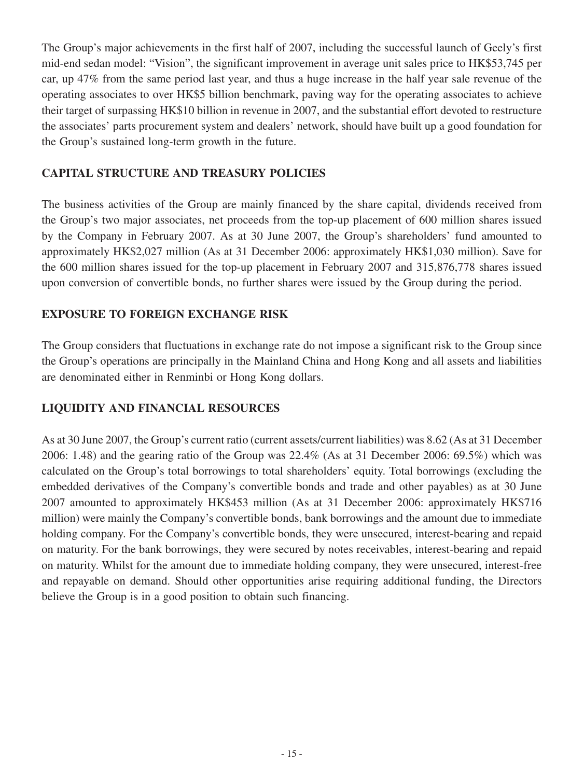The Group's major achievements in the first half of 2007, including the successful launch of Geely's first mid-end sedan model: "Vision", the significant improvement in average unit sales price to HK\$53,745 per car, up 47% from the same period last year, and thus a huge increase in the half year sale revenue of the operating associates to over HK\$5 billion benchmark, paving way for the operating associates to achieve their target of surpassing HK\$10 billion in revenue in 2007, and the substantial effort devoted to restructure the associates' parts procurement system and dealers' network, should have built up a good foundation for the Group's sustained long-term growth in the future.

# **CAPITAL STRUCTURE AND TREASURY POLICIES**

The business activities of the Group are mainly financed by the share capital, dividends received from the Group's two major associates, net proceeds from the top-up placement of 600 million shares issued by the Company in February 2007. As at 30 June 2007, the Group's shareholders' fund amounted to approximately HK\$2,027 million (As at 31 December 2006: approximately HK\$1,030 million). Save for the 600 million shares issued for the top-up placement in February 2007 and 315,876,778 shares issued upon conversion of convertible bonds, no further shares were issued by the Group during the period.

# **EXPOSURE TO FOREIGN EXCHANGE RISK**

The Group considers that fluctuations in exchange rate do not impose a significant risk to the Group since the Group's operations are principally in the Mainland China and Hong Kong and all assets and liabilities are denominated either in Renminbi or Hong Kong dollars.

# **LIQUIDITY AND FINANCIAL RESOURCES**

As at 30 June 2007, the Group's current ratio (current assets/current liabilities) was 8.62 (As at 31 December 2006: 1.48) and the gearing ratio of the Group was 22.4% (As at 31 December 2006: 69.5%) which was calculated on the Group's total borrowings to total shareholders' equity. Total borrowings (excluding the embedded derivatives of the Company's convertible bonds and trade and other payables) as at 30 June 2007 amounted to approximately HK\$453 million (As at 31 December 2006: approximately HK\$716 million) were mainly the Company's convertible bonds, bank borrowings and the amount due to immediate holding company. For the Company's convertible bonds, they were unsecured, interest-bearing and repaid on maturity. For the bank borrowings, they were secured by notes receivables, interest-bearing and repaid on maturity. Whilst for the amount due to immediate holding company, they were unsecured, interest-free and repayable on demand. Should other opportunities arise requiring additional funding, the Directors believe the Group is in a good position to obtain such financing.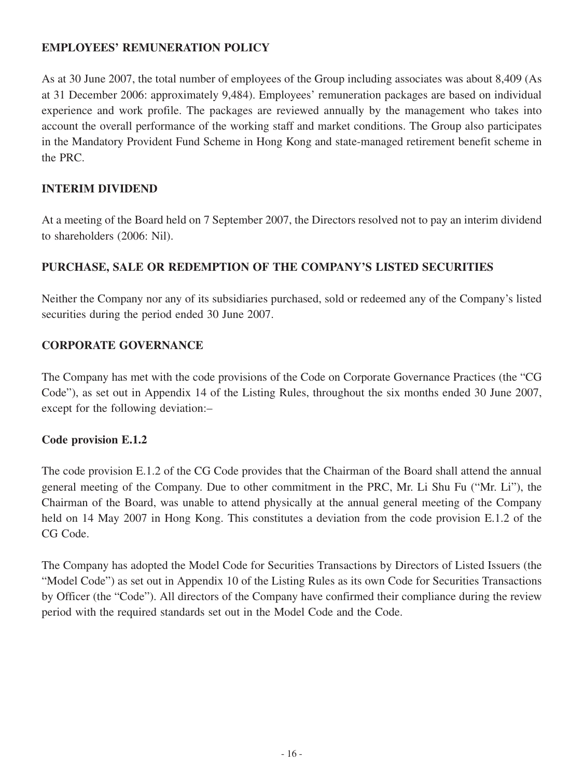# **EMPLOYEES' REMUNERATION POLICY**

As at 30 June 2007, the total number of employees of the Group including associates was about 8,409 (As at 31 December 2006: approximately 9,484). Employees' remuneration packages are based on individual experience and work profile. The packages are reviewed annually by the management who takes into account the overall performance of the working staff and market conditions. The Group also participates in the Mandatory Provident Fund Scheme in Hong Kong and state-managed retirement benefit scheme in the PRC.

# **INTERIM DIVIDEND**

At a meeting of the Board held on 7 September 2007, the Directors resolved not to pay an interim dividend to shareholders (2006: Nil).

# **PURCHASE, SALE OR REDEMPTION OF THE COMPANY'S LISTED SECURITIES**

Neither the Company nor any of its subsidiaries purchased, sold or redeemed any of the Company's listed securities during the period ended 30 June 2007.

# **CORPORATE GOVERNANCE**

The Company has met with the code provisions of the Code on Corporate Governance Practices (the "CG Code"), as set out in Appendix 14 of the Listing Rules, throughout the six months ended 30 June 2007, except for the following deviation:–

# **Code provision E.1.2**

The code provision E.1.2 of the CG Code provides that the Chairman of the Board shall attend the annual general meeting of the Company. Due to other commitment in the PRC, Mr. Li Shu Fu ("Mr. Li"), the Chairman of the Board, was unable to attend physically at the annual general meeting of the Company held on 14 May 2007 in Hong Kong. This constitutes a deviation from the code provision E.1.2 of the CG Code.

The Company has adopted the Model Code for Securities Transactions by Directors of Listed Issuers (the "Model Code") as set out in Appendix 10 of the Listing Rules as its own Code for Securities Transactions by Officer (the "Code"). All directors of the Company have confirmed their compliance during the review period with the required standards set out in the Model Code and the Code.